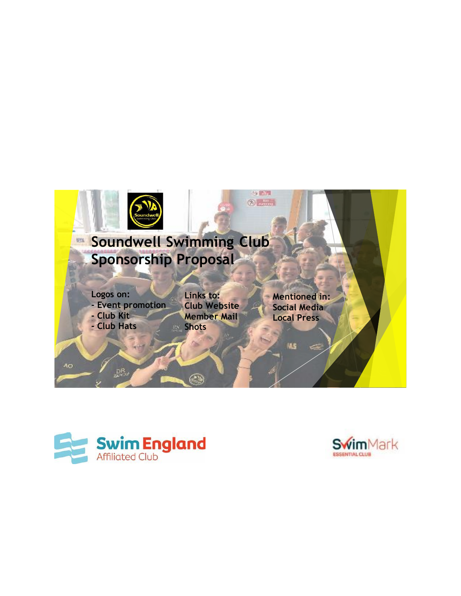



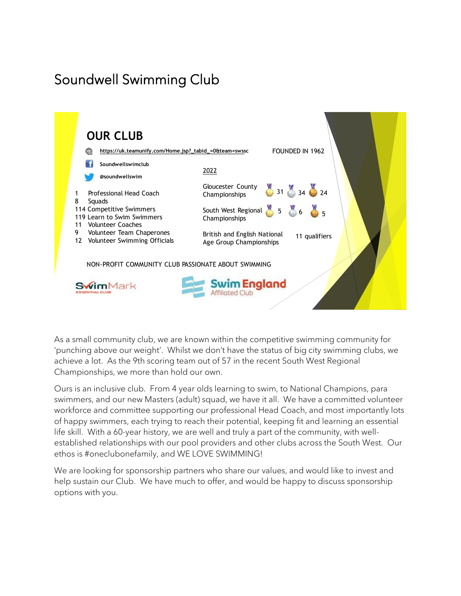# Soundwell Swimming Club



As a small community club, we are known within the competitive swimming community for 'punching above our weight'. Whilst we don't have the status of big city swimming clubs, we achieve a lot. As the 9th scoring team out of 57 in the recent South West Regional Championships, we more than hold our own.

Ours is an inclusive club. From 4 year olds learning to swim, to National Champions, para swimmers, and our new Masters (adult) squad, we have it all. We have a committed volunteer workforce and committee supporting our professional Head Coach, and most importantly lots of happy swimmers, each trying to reach their potential, keeping fit and learning an essential life skill. With a 60-year history, we are well and truly a part of the community, with wellestablished relationships with our pool providers and other clubs across the South West. Our ethos is #oneclubonefamily, and WE LOVE SWIMMING!

We are looking for sponsorship partners who share our values, and would like to invest and help sustain our Club. We have much to offer, and would be happy to discuss sponsorship options with you.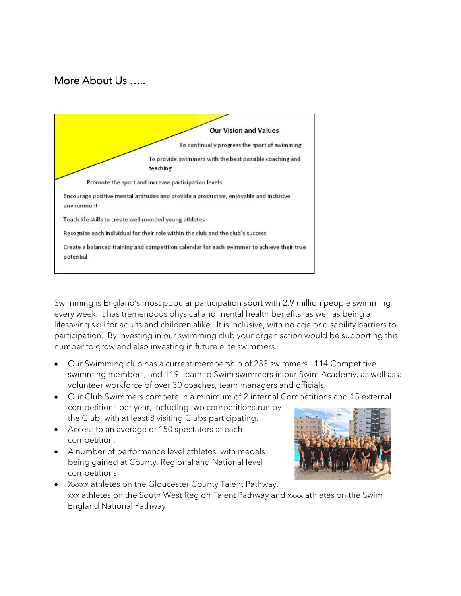#### More About Us …..



Swimming is England's most popular participation sport with 2.9 million people swimming every week. It has tremendous physical and mental health benefits, as well as being a lifesaving skill for adults and children alike. It is inclusive, with no age or disability barriers to participation. By investing in our swimming club your organisation would be supporting this number to grow and also investing in future elite swimmers.

- Our Swimming club has a current membership of 233 swimmers. 114 Competitive swimming members, and 119 Learn to Swim swimmers in our Swim Academy, as well as a volunteer workforce of over 30 coaches, team managers and officials.
- Our Club Swimmers compete in a minimum of 2 internal Competitions and 15 external competitions per year, including two competitions run by the Club, with at least 8 visiting Clubs participating.
- Access to an average of 150 spectators at each competition.
- A number of performance level athletes, with medals being gained at County, Regional and National level competitions.



• Xxxxx athletes on the Gloucester County Talent Pathway, xxx athletes on the South West Region Talent Pathway and xxxx athletes on the Swim England National Pathway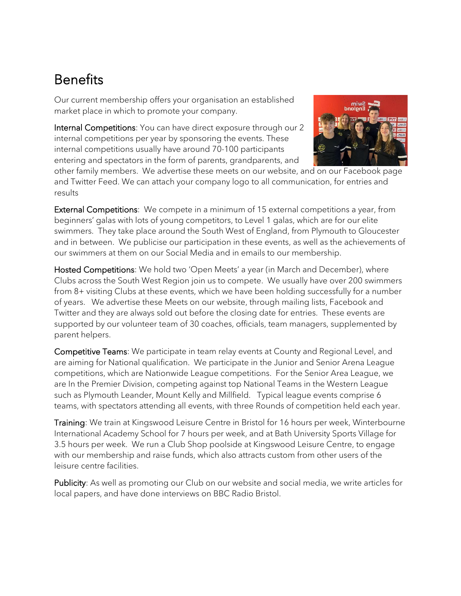## Benefits

Our current membership offers your organisation an established market place in which to promote your company.

Internal Competitions: You can have direct exposure through our 2 internal competitions per year by sponsoring the events. These internal competitions usually have around 70-100 participants entering and spectators in the form of parents, grandparents, and



other family members. We advertise these meets on our website, and on our Facebook page and Twitter Feed. We can attach your company logo to all communication, for entries and results

External Competitions: We compete in a minimum of 15 external competitions a year, from beginners' galas with lots of young competitors, to Level 1 galas, which are for our elite swimmers. They take place around the South West of England, from Plymouth to Gloucester and in between. We publicise our participation in these events, as well as the achievements of our swimmers at them on our Social Media and in emails to our membership.

Hosted Competitions: We hold two 'Open Meets' a year (in March and December), where Clubs across the South West Region join us to compete. We usually have over 200 swimmers from 8+ visiting Clubs at these events, which we have been holding successfully for a number of years. We advertise these Meets on our website, through mailing lists, Facebook and Twitter and they are always sold out before the closing date for entries. These events are supported by our volunteer team of 30 coaches, officials, team managers, supplemented by parent helpers.

Competitive Teams: We participate in team relay events at County and Regional Level, and are aiming for National qualification. We participate in the Junior and Senior Arena League competitions, which are Nationwide League competitions. For the Senior Area League, we are In the Premier Division, competing against top National Teams in the Western League such as Plymouth Leander, Mount Kelly and Millfield. Typical league events comprise 6 teams, with spectators attending all events, with three Rounds of competition held each year.

Training: We train at Kingswood Leisure Centre in Bristol for 16 hours per week, Winterbourne International Academy School for 7 hours per week, and at Bath University Sports Village for 3.5 hours per week. We run a Club Shop poolside at Kingswood Leisure Centre, to engage with our membership and raise funds, which also attracts custom from other users of the leisure centre facilities.

Publicity: As well as promoting our Club on our website and social media, we write articles for local papers, and have done interviews on BBC Radio Bristol.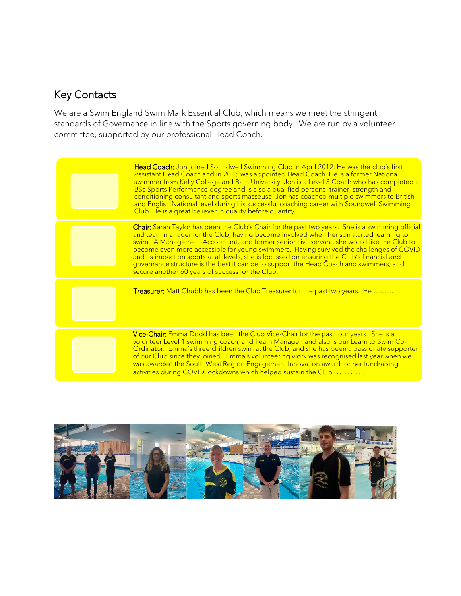### Key Contacts

We are a Swim England Swim Mark Essential Club, which means we meet the stringent standards of Governance in line with the Sports governing body. We are run by a volunteer committee, supported by our professional Head Coach.

| Head Coach: Jon joined Soundwell Swimming Club in April 2012. He was the club's first<br>Assistant Head Coach and in 2015 was appointed Head Coach. He is a former National<br>swimmer from Kelly College and Bath University. Jon is a Level 3 Coach who has completed a<br>BSc Sports Performance degree and is also a qualified personal trainer, strength and<br>conditioning consultant and sports masseuse. Jon has coached multiple swimmers to British<br>and English National level during his successful coaching career with Soundwell Swimming<br>Club. He is a great believer in quality before quantity.            |
|-----------------------------------------------------------------------------------------------------------------------------------------------------------------------------------------------------------------------------------------------------------------------------------------------------------------------------------------------------------------------------------------------------------------------------------------------------------------------------------------------------------------------------------------------------------------------------------------------------------------------------------|
| Chair: Sarah Taylor has been the Club's Chair for the past two years. She is a swimming official<br>and team manager for the Club, having become involved when her son started learning to<br>swim. A Management Accountant, and former senior civil servant, she would like the Club to<br>become even more accessible for young swimmers. Having survived the challenges of COVID<br>and its impact on sports at all levels, she is focussed on ensuring the Club's financial and<br>governance structure is the best it can be to support the Head Coach and swimmers, and<br>secure another 60 years of success for the Club. |
| <b>Treasurer:</b> Matt Chubb has been the Club Treasurer for the past two years. He                                                                                                                                                                                                                                                                                                                                                                                                                                                                                                                                               |
| Vice-Chair: Emma Dodd has been the Club Vice-Chair for the past four years. She is a<br>volunteer Level 1 swimming coach, and Team Manager, and also is our Learn to Swim Co-<br>Ordinator. Emma's three children swim at the Club, and she has been a passionate supporter<br>of our Club since they joined. Emma's volunteering work was recognised last year when we<br>was awarded the South West Region Engagement Innovation award for her fundraising<br>activities during COVID lockdowns which helped sustain the Club.                                                                                                  |

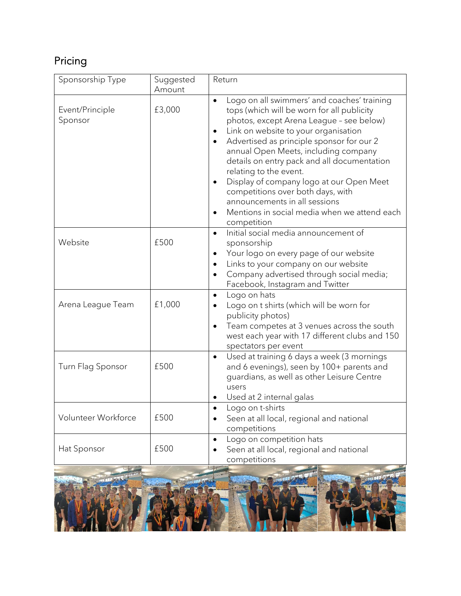### Pricing

| Sponsorship Type                                    | Suggested<br>Amount | Return                                                                                                                                                                                                                                                                                                                                                                                                                                                                                                                                         |
|-----------------------------------------------------|---------------------|------------------------------------------------------------------------------------------------------------------------------------------------------------------------------------------------------------------------------------------------------------------------------------------------------------------------------------------------------------------------------------------------------------------------------------------------------------------------------------------------------------------------------------------------|
| Event/Principle<br>Sponsor                          | £3,000              | Logo on all swimmers' and coaches' training<br>$\bullet$<br>tops (which will be worn for all publicity<br>photos, except Arena League - see below)<br>Link on website to your organisation<br>٠<br>Advertised as principle sponsor for our 2<br>annual Open Meets, including company<br>details on entry pack and all documentation<br>relating to the event.<br>Display of company logo at our Open Meet<br>competitions over both days, with<br>announcements in all sessions<br>Mentions in social media when we attend each<br>competition |
| Website                                             | £500                | Initial social media announcement of<br>$\bullet$<br>sponsorship<br>Your logo on every page of our website<br>Links to your company on our website<br>$\bullet$<br>Company advertised through social media;<br>$\bullet$<br>Facebook, Instagram and Twitter                                                                                                                                                                                                                                                                                    |
| Arena League Team                                   | £1,000              | Logo on hats<br>$\bullet$<br>Logo on t shirts (which will be worn for<br>publicity photos)<br>Team competes at 3 venues across the south<br>west each year with 17 different clubs and 150<br>spectators per event                                                                                                                                                                                                                                                                                                                             |
| Turn Flag Sponsor                                   | £500                | Used at training 6 days a week (3 mornings<br>$\bullet$<br>and 6 evenings), seen by 100+ parents and<br>guardians, as well as other Leisure Centre<br>users<br>Used at 2 internal galas                                                                                                                                                                                                                                                                                                                                                        |
| Volunteer Workforce                                 | £500                | Logo on t-shirts<br>Seen at all local, regional and national<br>competitions                                                                                                                                                                                                                                                                                                                                                                                                                                                                   |
| Hat Sponsor                                         | £500                | Logo on competition hats<br>Seen at all local, regional and national<br>competitions                                                                                                                                                                                                                                                                                                                                                                                                                                                           |
| <b>THE REAL PROPERTY AND INTERNATIONAL PROPERTY</b> |                     | <b>The 181 Fire</b><br>$1^{11}$ $1^{11}$ $1^{11}$                                                                                                                                                                                                                                                                                                                                                                                                                                                                                              |